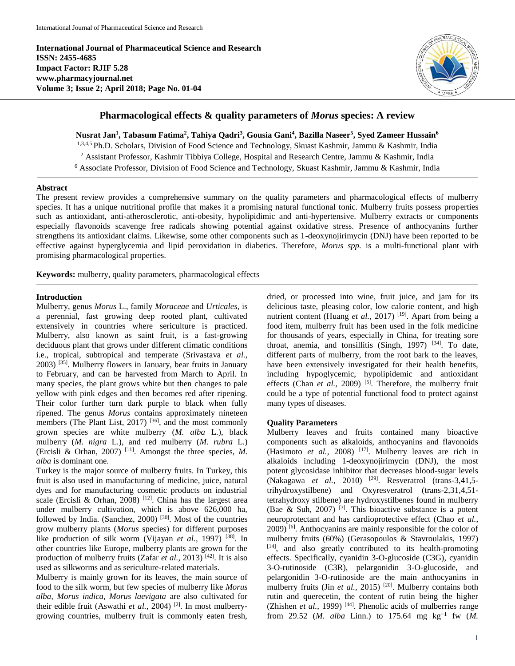**International Journal of Pharmaceutical Science and Research ISSN: 2455-4685 Impact Factor: RJIF 5.28 www.pharmacyjournal.net Volume 3; Issue 2; April 2018; Page No. 01-04**



# **Pharmacological effects & quality parameters of** *Morus* **species: A review**

**Nusrat Jan<sup>1</sup> , Tabasum Fatima<sup>2</sup> , Tahiya Qadri<sup>3</sup> , Gousia Gani<sup>4</sup> , Bazilla Naseer<sup>5</sup> , Syed Zameer Hussain<sup>6</sup>** 1,3,4,5 Ph.D. Scholars, Division of Food Science and Technology, Skuast Kashmir, Jammu & Kashmir, India <sup>2</sup> Assistant Professor, Kashmir Tibbiya College, Hospital and Research Centre, Jammu & Kashmir, India <sup>6</sup> Associate Professor, Division of Food Science and Technology, Skuast Kashmir, Jammu & Kashmir, India

### **Abstract**

The present review provides a comprehensive summary on the quality parameters and pharmacological effects of mulberry species. It has a unique nutritional profile that makes it a promising natural functional tonic. Mulberry fruits possess properties such as antioxidant, anti-atherosclerotic, anti-obesity, hypolipidimic and anti-hypertensive. Mulberry extracts or components especially flavonoids scavenge free radicals showing potential against oxidative stress. Presence of anthocyanins further strengthens its antioxidant claims. Likewise, some other components such as 1-deoxynojirimycin (DNJ) have been reported to be effective against hyperglycemia and lipid peroxidation in diabetics. Therefore, *Morus spp.* is a multi-functional plant with promising pharmacological properties.

**Keywords:** mulberry, quality parameters, pharmacological effects

#### **Introduction**

Mulberry, genus *Morus* L., family *Moraceae* and *Urticales,* is a perennial, fast growing deep rooted plant, cultivated extensively in countries where sericulture is practiced. Mulberry, also known as saint fruit, is a fast-growing deciduous plant that grows under different climatic conditions i.e., tropical, subtropical and temperate (Srivastava *et al.,* 2003) [35]. Mulberry flowers in January, bear fruits in January to February, and can be harvested from March to April. In many species, the plant grows white but then changes to pale yellow with pink edges and then becomes red after ripening. Their color further turn dark purple to black when fully ripened. The genus *Morus* contains approximately nineteen members (The Plant List, 2017)<sup>[36]</sup>, and the most commonly grown species are white mulberry (*M. alba* L.), black mulberry (*M. nigra* L.), and red mulberry (*M. rubra* L.) (Ercisli & Orhan, 2007) [11]. Amongst the three species, *M. alba* is dominant one.

Turkey is the major source of mulberry fruits. In Turkey, this fruit is also used in manufacturing of medicine, juice, natural dyes and for manufacturing cosmetic products on industrial scale (Ercisli & Orhan, 2008) <sup>[12]</sup>. China has the largest area under mulberry cultivation, which is above 626,000 ha, followed by India. (Sanchez, 2000)<sup>[30]</sup>. Most of the countries grow mulberry plants (*Morus* species) for different purposes like production of silk worm (Vijayan *et al.,* 1997) [38]. In other countries like Europe, mulberry plants are grown for the production of mulberry fruits (Zafar *et al.,* 2013) [42]. It is also used as silkworms and as sericulture-related materials.

Mulberry is mainly grown for its leaves, the main source of food to the silk worm, but few species of mulberry like *Morus alba, Morus indica, Morus laevigata* are also cultivated for their edible fruit (Aswathi *et al.*, 2004)<sup>[2]</sup>. In most mulberrygrowing countries, mulberry fruit is commonly eaten fresh, dried, or processed into wine, fruit juice, and jam for its delicious taste, pleasing color, low calorie content, and high nutrient content (Huang *et al.*, 2017)<sup>[19]</sup>. Apart from being a food item, mulberry fruit has been used in the folk medicine for thousands of years, especially in China, for treating sore throat, anemia, and tonsillitis (Singh, 1997)  $[34]$ . To date, different parts of mulberry, from the root bark to the leaves, have been extensively investigated for their health benefits, including hypoglycemic, hypolipidemic and antioxidant effects (Chan *et al.*, 2009)<sup>[5]</sup>. Therefore, the mulberry fruit could be a type of potential functional food to protect against many types of diseases.

### **Quality Parameters**

Mulberry leaves and fruits contained many bioactive components such as alkaloids, anthocyanins and flavonoids (Hasimoto *et al.,* 2008) [17]. Mulberry leaves are rich in alkaloids including 1-deoxynojirimycin (DNJ), the most potent glycosidase inhibitor that decreases blood-sugar levels (Nakagawa *et al.,* 2010) [29]. Resveratrol (trans-3,41,5 trihydroxystilbene) and Oxyresveratrol (trans-2,31,4,51 tetrahydroxy stilbene) are hydroxystilbenes found in mulberry (Bae & Suh, 2007)  $^{[3]}$ . This bioactive substance is a potent neuroprotectant and has cardioprotective effect (Chao *et al.,* 2009) [6]. Anthocyanins are mainly responsible for the color of mulberry fruits (60%) (Gerasopoulos & Stavroulakis, 1997) [14], and also greatly contributed to its health-promoting effects. Specifically, cyanidin 3-O-glucoside (C3G), cyanidin 3-O-rutinoside (C3R), pelargonidin 3-O-glucoside, and pelargonidin 3-O-rutinoside are the main anthocyanins in mulberry fruits (Jin *et al.*, 2015)<sup>[20]</sup>. Mulberry contains both rutin and querecetin, the content of rutin being the higher (Zhishen *et al.,* 1999) [44]. Phenolic acids of mulberries range from 29.52 (*M. alba* Linn.) to 175.64 mg kg<sup>-1</sup> fw (*M.*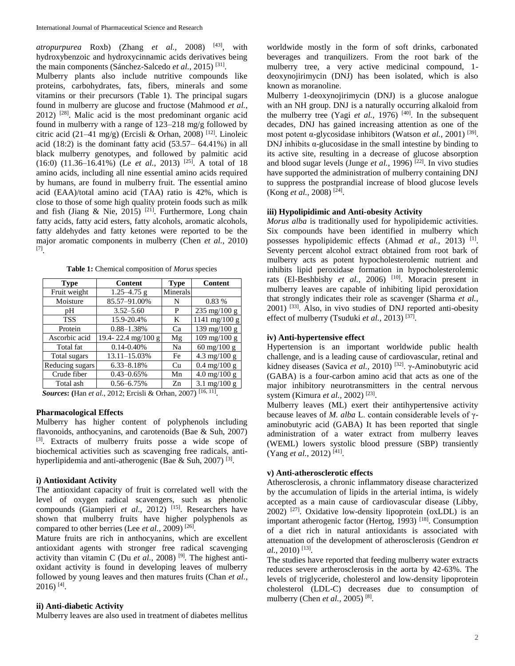*atropurpurea* Roxb) (Zhang *et al.,* 2008) [43], with hydroxybenzoic and hydroxycinnamic acids derivatives being the main components (Sánchez-Salcedo *et al.,* 2015) [31] .

Mulberry plants also include nutritive compounds like proteins, carbohydrates, fats, fibers, minerals and some vitamins or their precursors (Table 1). The principal sugars found in mulberry are glucose and fructose (Mahmood *et al.,* 2012) [28]. Malic acid is the most predominant organic acid found in mulberry with a range of 123–218 mg/g followed by citric acid (21–41 mg/g) (Ercisli & Orhan, 2008)<sup>[12]</sup>. Linoleic acid (18:2) is the dominant fatty acid (53.57– 64.41%) in all black mulberry genotypes, and followed by palmitic acid (16:0) (11.36–16.41%) (Le *et al.,* 2013) [25] . A total of 18 amino acids, including all nine essential amino acids required by humans, are found in mulberry fruit. The essential amino acid (EAA)/total amino acid (TAA) ratio is 42%, which is close to those of some high quality protein foods such as milk and fish (Jiang & Nie, 2015)<sup>[21]</sup>. Furthermore, Long chain fatty acids, fatty acid esters, fatty alcohols, aromatic alcohols, fatty aldehydes and fatty ketones were reported to be the major aromatic components in mulberry (Chen *et al.,* 2010) [7] .

| <b>Table 1:</b> Chemical composition of <i>Morus</i> species |  |  |  |  |  |
|--------------------------------------------------------------|--|--|--|--|--|
|--------------------------------------------------------------|--|--|--|--|--|

| <b>Content</b>  | <b>Type</b> | <b>Content</b>                  |
|-----------------|-------------|---------------------------------|
| $1.25 - 4.75$ g | Minerals    |                                 |
| 85.57-91.00%    | N           | 0.83 %                          |
| $3.52 - 5.60$   | P           | $235 \text{ mg}/100 \text{ g}$  |
| 15.9-20.4%      | K           | $1141 \text{ mg}/100 \text{ g}$ |
| $0.88 - 1.38%$  | Ca          | $139 \text{ mg}/100 \text{ g}$  |
|                 | Mg          | 109 mg/100 g                    |
| $0.14 - 0.40\%$ | Na          | 60 mg/100 g                     |
| 13.11-15.03%    | Fe          | $4.3 \text{ mg}/100 \text{ g}$  |
| $6.33 - 8.18%$  | Cu          | $0.4 \text{ mg}/100 \text{ g}$  |
| $0.43 - 0.65\%$ | Mn          | $4.0 \text{ mg}/100 \text{ g}$  |
| $0.56 - 6.75%$  | Zn          | 3.1 mg/100 g                    |
|                 |             | 19.4-22.4 mg/100 g              |

*Sources***: (**Han *et al.,* 2012; Ercisli & Orhan, 2007) [16, 11] .

#### **Pharmacological Effects**

Mulberry has higher content of polyphenols including flavonoids, anthocyanins, and carotenoids (Bae & Suh, 2007) [3]. Extracts of mulberry fruits posse a wide scope of biochemical activities such as scavenging free radicals, antihyperlipidemia and anti-atherogenic (Bae & Suh, 2007)<sup>[3]</sup>.

# **i) Antioxidant Activity**

The antioxidant capacity of fruit is correlated well with the level of oxygen radical scavengers, such as phenolic compounds (Giampieri *et al.*, 2012)<sup>[15]</sup>. Researchers have shown that mulberry fruits have higher polyphenols as compared to other berries (Lee *et al.*, 2009)<sup>[26]</sup>.

Mature fruits are rich in anthocyanins, which are excellent antioxidant agents with stronger free radical scavenging activity than vitamin C (Du *et al.,* 2008) [9] *.* The highest antioxidant activity is found in developing leaves of mulberry followed by young leaves and then matures fruits (Chan *et al.,*  $2016$ )<sup>[4]</sup>.

# **ii) Anti-diabetic Activity**

Mulberry leaves are also used in treatment of diabetes mellitus

worldwide mostly in the form of soft drinks, carbonated beverages and tranquilizers. From the root bark of the mulberry tree, a very active medicinal compound, 1 deoxynojirimycin (DNJ) has been isolated, which is also known as moranoline.

Mulberry 1-deoxynojirimycin (DNJ) is a glucose analogue with an NH group. DNJ is a naturally occurring alkaloid from the mulberry tree (Yagi *et al.*, 1976)<sup>[40]</sup>. In the subsequent decades, DNJ has gained increasing attention as one of the most potent α-glycosidase inhibitors (Watson *et al.*, 2001)<sup>[39]</sup>. DNJ inhibits  $\alpha$ -glucosidase in the small intestine by binding to its active site, resulting in a decrease of glucose absorption and blood sugar levels (Junge *et al.*, 1996)<sup>[22]</sup>. In vivo studies have supported the administration of mulberry containing DNJ to suppress the postprandial increase of blood glucose levels (Kong *et al.*, 2008)<sup>[24]</sup>.

#### **iii) Hypolipidimic and Anti-obesity Activity**

*Morus alba* is traditionally used for hypolipidemic activities. Six compounds have been identified in mulberry which possesses hypolipidemic effects (Ahmad et al., 2013)<sup>[1]</sup>. Seventy percent alcohol extract obtained from root bark of mulberry acts as potent hypocholesterolemic nutrient and inhibits lipid peroxidase formation in hypocholesterolemic rats (El-Beshbishy *et al.*, 2006)<sup>[10]</sup>. Moracin present in mulberry leaves are capable of inhibiting lipid peroxidation that strongly indicates their role as scavenger (Sharma *et al.,*  $2001$ ) <sup>[33]</sup>. Also, in vivo studies of DNJ reported anti-obesity effect of mulberry (Tsuduki *et al.*, 2013)<sup>[37]</sup>.

# **iv) Anti-hypertensive effect**

Hypertension is an important worldwide public health challenge, and is a leading cause of cardiovascular, retinal and kidney diseases (Savica *et al.*, 2010)<sup>[32]</sup>. γ-Aminobutyric acid (GABA) is a four-carbon amino acid that acts as one of the major inhibitory neurotransmitters in the central nervous system (Kimura *et al.*, 2002)<sup>[23]</sup>.

Mulberry leaves (ML) exert their antihypertensive activity because leaves of *M. alba* L. contain considerable levels of γaminobutyric acid (GABA) It has been reported that single administration of a water extract from mulberry leaves (WEML) lowers systolic blood pressure (SBP) transiently (Yang *et al.*, 2012)<sup>[41]</sup>.

### **v) Anti-atherosclerotic effects**

Atherosclerosis, a chronic inflammatory disease characterized by the accumulation of lipids in the arterial intima, is widely accepted as a main cause of cardiovascular disease (Libby,  $2002$ ) <sup>[27]</sup>. Oxidative low-density lipoprotein (oxLDL) is an important atherogenic factor (Hertog, 1993)<sup>[18]</sup>. Consumption of a diet rich in natural antioxidants is associated with attenuation of the development of atherosclerosis (Gendron *et al.,* 2010) [13] .

The studies have reported that feeding mulberry water extracts reduces severe artherosclerosis in the aorta by 42-63%. The levels of triglyceride, cholesterol and low-density lipoprotein cholesterol (LDL-C) decreases due to consumption of mulberry (Chen *et al.,* 2005) [8] .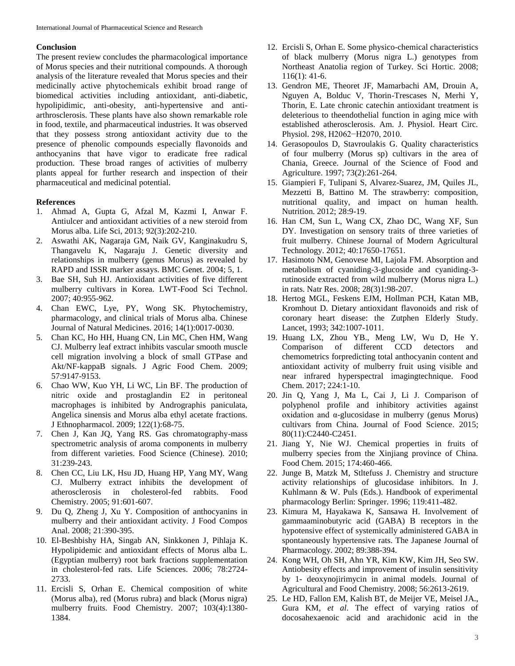### **Conclusion**

The present review concludes the pharmacological importance of Morus species and their nutritional compounds. A thorough analysis of the literature revealed that Morus species and their medicinally active phytochemicals exhibit broad range of biomedical activities including antioxidant, anti-diabetic, hypolipidimic, anti-obesity, anti-hypertensive and antiarthrosclerosis. These plants have also shown remarkable role in food, textile, and pharmaceutical industries. It was observed that they possess strong antioxidant activity due to the presence of phenolic compounds especially flavonoids and anthocyanins that have vigor to eradicate free radical production. These broad ranges of activities of mulberry plants appeal for further research and inspection of their pharmaceutical and medicinal potential.

# **References**

- 1. Ahmad A, Gupta G, Afzal M, Kazmi I, Anwar F. Antiulcer and antioxidant activities of a new steroid from Morus alba. Life Sci, 2013; 92(3):202-210.
- 2. Aswathi AK, Nagaraja GM, Naik GV, Kanginakudru S, Thangavelu K, Nagaraju J. Genetic diversity and relationships in mulberry (genus Morus) as revealed by RAPD and ISSR marker assays. BMC Genet. 2004; 5, 1.
- 3. Bae SH, Suh HJ. Antioxidant activities of five different mulberry cultivars in Korea. LWT-Food Sci Technol. 2007; 40:955-962.
- 4. Chan EWC, Lye, PY, Wong SK. Phytochemistry, pharmacology, and clinical trials of Morus alba. Chinese Journal of Natural Medicines. 2016; 14(1):0017-0030.
- 5. Chan KC, Ho HH, Huang CN, Lin MC, Chen HM, Wang CJ. Mulberry leaf extract inhibits vascular smooth muscle cell migration involving a block of small GTPase and Akt/NF-kappaB signals. J Agric Food Chem. 2009; 57:9147-9153.
- 6. Chao WW, Kuo YH, Li WC, Lin BF. The production of nitric oxide and prostaglandin E2 in peritoneal macrophages is inhibited by Andrographis paniculata, Angelica sinensis and Morus alba ethyl acetate fractions. J Ethnopharmacol. 2009; 122(1):68-75.
- 7. Chen J, Kan JQ, Yang RS. Gas chromatography-mass spectrometric analysis of aroma components in mulberry from different varieties. Food Science (Chinese). 2010; 31:239-243.
- 8. Chen CC, Liu LK, Hsu JD, Huang HP, Yang MY, Wang CJ. Mulberry extract inhibits the development of atherosclerosis in cholesterol-fed rabbits. Food Chemistry. 2005; 91:601-607.
- 9. Du Q, Zheng J, Xu Y. Composition of anthocyanins in mulberry and their antioxidant activity. J Food Compos Anal. 2008; 21:390-395.
- 10. El-Beshbishy HA, Singab AN, Sinkkonen J, Pihlaja K. Hypolipidemic and antioxidant effects of Morus alba L. (Egyptian mulberry) root bark fractions supplementation in cholesterol-fed rats. Life Sciences. 2006; 78:2724- 2733.
- 11. Ercisli S, Orhan E. Chemical composition of white (Morus alba), red (Morus rubra) and black (Morus nigra) mulberry fruits. Food Chemistry. 2007; 103(4):1380- 1384.
- 12. Ercisli S, Orhan E. Some physico-chemical characteristics of black mulberry (Morus nigra L.) genotypes from Northeast Anatolia region of Turkey. Sci Hortic. 2008; 116(1): 41-6.
- 13. Gendron ME, Theoret JF, Mamarbachi AM, Drouin A, Nguyen A, Bolduc V, Thorin-Trescases N, Merhi Y, Thorin, E. Late chronic catechin antioxidant treatment is deleterious to theendothelial function in aging mice with established atherosclerosis. Am. J. Physiol. Heart Circ. Physiol. 298, H2062−H2070, 2010.
- 14. Gerasopoulos D, Stavroulakis G. Quality characteristics of four mulberry (Morus sp) cultivars in the area of Chania, Greece. Journal of the Science of Food and Agriculture. 1997; 73(2):261-264.
- 15. Giampieri F, Tulipani S, Alvarez-Suarez, JM, Quiles JL, Mezzetti B, Battino M. The strawberry: composition, nutritional quality, and impact on human health. Nutrition. 2012; 28:9-19.
- 16. Han CM, Sun L, Wang CX, Zhao DC, Wang XF, Sun DY. Investigation on sensory traits of three varieties of fruit mulberry. Chinese Journal of Modern Agricultural Technology. 2012; 40:17650-17651.
- 17. Hasimoto NM, Genovese MI, Lajola FM. Absorption and metabolism of cyaniding-3-glucoside and cyaniding-3 rutinoside extracted from wild mulberry (Morus nigra L.) in rats. Natr Res. 2008; 28(3)1:98-207.
- 18. Hertog MGL, Feskens EJM, Hollman PCH, Katan MB, Kromhout D. Dietary antioxidant flavonoids and risk of coronary heart disease: the Zutphen Elderly Study. Lancet, 1993; 342:1007-1011.
- 19. Huang LX, Zhou YB., Meng LW, Wu D, He Y. Comparison of different CCD detectors and chemometrics forpredicting total anthocyanin content and antioxidant activity of mulberry fruit using visible and near infrared hyperspectral imagingtechnique. Food Chem. 2017; 224:1-10.
- 20. Jin Q, Yang J, Ma L, Cai J, Li J. Comparison of polyphenol profile and inhibitory activities against oxidation and α-glucosidase in mulberry (genus Morus) cultivars from China. Journal of Food Science. 2015; 80(11):C2440-C2451.
- 21. Jiang Y, Nie WJ. Chemical properties in fruits of mulberry species from the Xinjiang province of China. Food Chem. 2015; 174:460-466.
- 22. Junge B, Matzk M, Stltefuss J. Chemistry and structure activity relationships of glucosidase inhibitors. In J. Kuhlmann & W. Puls (Eds.). Handbook of experimental pharmacology Berlin: Springer. 1996; 119:411-482.
- 23. Kimura M, Hayakawa K, Sansawa H. Involvement of gammaaminobutyric acid (GABA) B receptors in the hypotensive effect of systemically administered GABA in spontaneously hypertensive rats. The Japanese Journal of Pharmacology. 2002; 89:388-394.
- 24. Kong WH, Oh SH, Ahn YR, Kim KW, Kim JH, Seo SW. Antiobesity effects and improvement of insulin sensitivity by 1- deoxynojirimycin in animal models. Journal of Agricultural and Food Chemistry. 2008; 56:2613-2619.
- 25. Le HD, Fallon EM, Kalish BT, de Meijer VE, Meisel JA., Gura KM, *et al*. The effect of varying ratios of docosahexaenoic acid and arachidonic acid in the